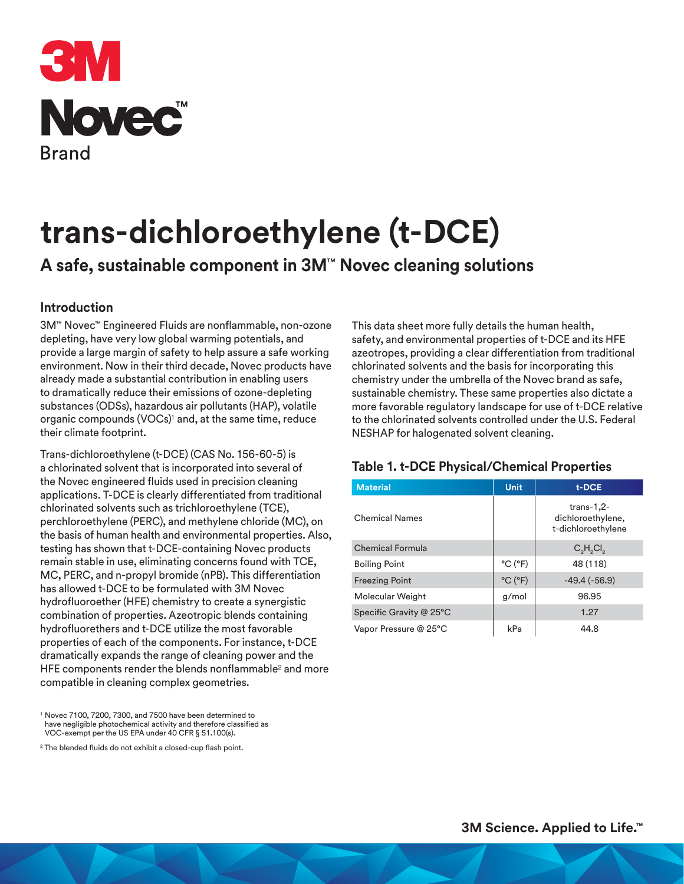

# **trans-dichloroethylene (t-DCE)**

## **A safe, sustainable component in 3M**™ **Novec cleaning solutions**

#### **Introduction**

3M™ Novec™ Engineered Fluids are nonflammable, non-ozone depleting, have very low global warming potentials, and provide a large margin of safety to help assure a safe working environment. Now in their third decade, Novec products have already made a substantial contribution in enabling users to dramatically reduce their emissions of ozone-depleting substances (ODSs), hazardous air pollutants (HAP), volatile organic compounds (VOCs)1 and, at the same time, reduce their climate footprint.

Trans-dichloroethylene (t-DCE) (CAS No. 156-60-5) is a chlorinated solvent that is incorporated into several of the Novec engineered fluids used in precision cleaning applications. T-DCE is clearly differentiated from traditional chlorinated solvents such as trichloroethylene (TCE), perchloroethylene (PERC), and methylene chloride (MC), on the basis of human health and environmental properties. Also, testing has shown that t-DCE-containing Novec products remain stable in use, eliminating concerns found with TCE, MC, PERC, and n-propyl bromide (nPB). This differentiation has allowed t-DCE to be formulated with 3M Novec hydrofluoroether (HFE) chemistry to create a synergistic combination of properties. Azeotropic blends containing hydrofluorethers and t-DCE utilize the most favorable properties of each of the components. For instance, t-DCE dramatically expands the range of cleaning power and the HFE components render the blends nonflammable<sup>2</sup> and more compatible in cleaning complex geometries.

<sup>1</sup> Novec 7100, 7200, 7300, and 7500 have been determined to have negligible photochemical activity and therefore classified as VOC-exempt per the US EPA under 40 CFR § 51.100(s).

<sup>2</sup> The blended fluids do not exhibit a closed-cup flash point.

This data sheet more fully details the human health, safety, and environmental properties of t-DCE and its HFE azeotropes, providing a clear differentiation from traditional chlorinated solvents and the basis for incorporating this chemistry under the umbrella of the Novec brand as safe, sustainable chemistry. These same properties also dictate a more favorable regulatory landscape for use of t-DCE relative to the chlorinated solvents controlled under the U.S. Federal NESHAP for halogenated solvent cleaning.

#### **Table 1. t-DCE Physical/Chemical Properties**

| <b>Material</b>         | <b>Unit</b>                  | t-DCE                                                   |
|-------------------------|------------------------------|---------------------------------------------------------|
| <b>Chemical Names</b>   |                              | $trans-1,2-$<br>dichloroethylene,<br>t-dichloroethylene |
| <b>Chemical Formula</b> |                              | $C_2H_2Cl_2$                                            |
| <b>Boiling Point</b>    | $^{\circ}$ C ( $^{\circ}$ F) | 48 (118)                                                |
| <b>Freezing Point</b>   | $^{\circ}$ C $(^{\circ}$ F)  | $-49.4(-56.9)$                                          |
| Molecular Weight        | g/mol                        | 96.95                                                   |
| Specific Gravity @ 25°C |                              | 1.27                                                    |
| Vapor Pressure @ 25°C   | kPa                          | 44.8                                                    |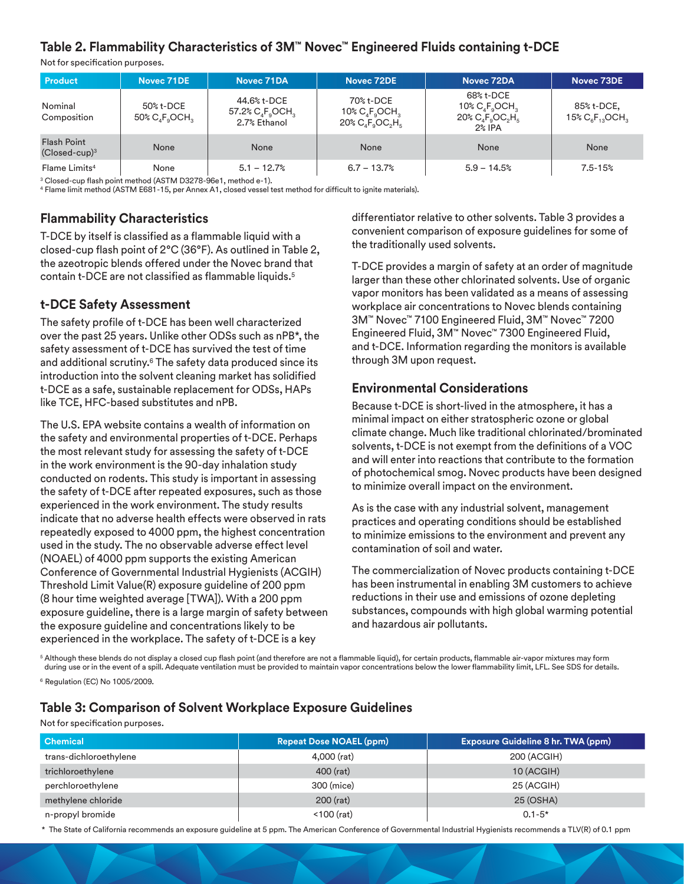#### **Table 2. Flammability Characteristics of 3M™ Novec™ Engineered Fluids containing t-DCE**

Not for specification purposes.

| <b>Product</b>                        | Novec 71DE                                                         | Novec 71DA                                         | Novec 72DE                                                                                                                                | Novec 72DA                                                                                                        | Novec 73DE                         |
|---------------------------------------|--------------------------------------------------------------------|----------------------------------------------------|-------------------------------------------------------------------------------------------------------------------------------------------|-------------------------------------------------------------------------------------------------------------------|------------------------------------|
| Nominal<br>Composition                | 50% t-DCE<br>$50\%$ C <sub>4</sub> F <sub>a</sub> OCH <sub>2</sub> | 44.6% t-DCE<br>57.2% $C_4F_9OCH_3$<br>2.7% Ethanol | 70% t-DCE<br>$10\%$ C <sub>s</sub> F <sub>s</sub> OCH <sub>s</sub><br>$20\%$ C <sub>a</sub> F <sub>a</sub> OC <sub>a</sub> H <sub>E</sub> | 68% t-DCE<br>10% $C_A F_o OCH_3$<br>$20\%$ C <sub>a</sub> F <sub>a</sub> OC <sub>a</sub> H <sub>E</sub><br>2% IPA | 85% t-DCE,<br>15% $C_6F_{13}OCH_3$ |
| <b>Flash Point</b><br>$(Closed-cup)3$ | None                                                               | <b>None</b>                                        | None                                                                                                                                      | None                                                                                                              | None                               |
| Flame Limits <sup>4</sup>             | None                                                               | $5.1 - 12.7%$                                      | $6.7 - 13.7%$                                                                                                                             | $5.9 - 14.5%$                                                                                                     | $7.5 - 15%$                        |

<sup>3</sup> Closed-cup flash point method (ASTM D3278-96e1, method e-1).

4 Flame limit method (ASTM E681-15, per Annex A1, closed vessel test method for difficult to ignite materials).

#### **Flammability Characteristics**

T-DCE by itself is classified as a flammable liquid with a closed-cup flash point of 2°C (36°F). As outlined in Table 2, the azeotropic blends offered under the Novec brand that contain t-DCE are not classified as flammable liquids.5

#### **t-DCE Safety Assessment**

The safety profile of t-DCE has been well characterized over the past 25 years. Unlike other ODSs such as nPB\*, the safety assessment of t-DCE has survived the test of time and additional scrutiny.<sup>6</sup> The safety data produced since its introduction into the solvent cleaning market has solidified t-DCE as a safe, sustainable replacement for ODSs, HAPs like TCE, HFC-based substitutes and nPB.

The U.S. EPA website contains a wealth of information on the safety and environmental properties of t-DCE. Perhaps the most relevant study for assessing the safety of t-DCE in the work environment is the 90-day inhalation study conducted on rodents. This study is important in assessing the safety of t-DCE after repeated exposures, such as those experienced in the work environment. The study results indicate that no adverse health effects were observed in rats repeatedly exposed to 4000 ppm, the highest concentration used in the study. The no observable adverse effect level (NOAEL) of 4000 ppm supports the existing American Conference of Governmental Industrial Hygienists (ACGIH) Threshold Limit Value(R) exposure guideline of 200 ppm (8 hour time weighted average [TWA]). With a 200 ppm exposure guideline, there is a large margin of safety between the exposure guideline and concentrations likely to be experienced in the workplace. The safety of t-DCE is a key

differentiator relative to other solvents. Table 3 provides a convenient comparison of exposure guidelines for some of the traditionally used solvents.

T-DCE provides a margin of safety at an order of magnitude larger than these other chlorinated solvents. Use of organic vapor monitors has been validated as a means of assessing workplace air concentrations to Novec blends containing 3M™ Novec™ 7100 Engineered Fluid, 3M™ Novec™ 7200 Engineered Fluid, 3M™ Novec™ 7300 Engineered Fluid, and t-DCE. Information regarding the monitors is available through 3M upon request.

#### **Environmental Considerations**

Because t-DCE is short-lived in the atmosphere, it has a minimal impact on either stratospheric ozone or global climate change. Much like traditional chlorinated/brominated solvents, t-DCE is not exempt from the definitions of a VOC and will enter into reactions that contribute to the formation of photochemical smog. Novec products have been designed to minimize overall impact on the environment.

As is the case with any industrial solvent, management practices and operating conditions should be established to minimize emissions to the environment and prevent any contamination of soil and water.

The commercialization of Novec products containing t-DCE has been instrumental in enabling 3M customers to achieve reductions in their use and emissions of ozone depleting substances, compounds with high global warming potential and hazardous air pollutants.

<sup>5</sup> Although these blends do not display a closed cup flash point (and therefore are not a flammable liquid), for certain products, flammable air-vapor mixtures may form during use or in the event of a spill. Adequate ventilation must be provided to maintain vapor concentrations below the lower flammability limit, LFL. See SDS for details.

6 Regulation (EC) No 1005/2009.

#### **Table 3: Comparison of Solvent Workplace Exposure Guidelines**

Not for specification purposes.

| l Chemical             | <b>Repeat Dose NOAEL (ppm)</b> | <b>Exposure Guideline 8 hr. TWA (ppm)</b> |
|------------------------|--------------------------------|-------------------------------------------|
| trans-dichloroethylene | 4,000 (rat)                    | 200 (ACGIH)                               |
| trichloroethylene      | 400 (rat)                      | 10 (ACGIH)                                |
| perchloroethylene      | 300 (mice)                     | 25 (ACGIH)                                |
| methylene chloride     | 200 (rat)                      | 25 (OSHA)                                 |
| n-propyl bromide       | $< 100$ (rat)                  | $0.1 - 5*$                                |

\* The State of California recommends an exposure guideline at 5 ppm. The American Conference of Governmental Industrial Hygienists recommends a TLV(R) of 0.1 ppm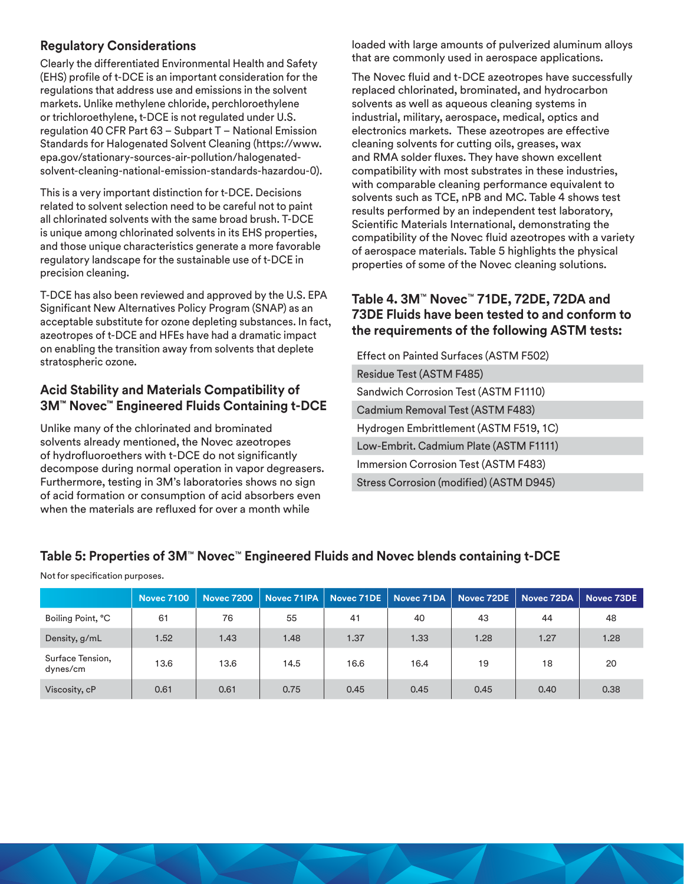#### **Regulatory Considerations**

Clearly the differentiated Environmental Health and Safety (EHS) profile of t-DCE is an important consideration for the regulations that address use and emissions in the solvent markets. Unlike methylene chloride, perchloroethylene or trichloroethylene, t-DCE is not regulated under U.S. regulation 40 CFR Part 63 – Subpart T – National Emission Standards for Halogenated Solvent Cleaning (https://www. epa.gov/stationary-sources-air-pollution/halogenatedsolvent-cleaning-national-emission-standards-hazardou-0).

This is a very important distinction for t-DCE. Decisions related to solvent selection need to be careful not to paint all chlorinated solvents with the same broad brush. T-DCE is unique among chlorinated solvents in its EHS properties, and those unique characteristics generate a more favorable regulatory landscape for the sustainable use of t-DCE in precision cleaning.

T-DCE has also been reviewed and approved by the U.S. EPA Significant New Alternatives Policy Program (SNAP) as an acceptable substitute for ozone depleting substances. In fact, azeotropes of t-DCE and HFEs have had a dramatic impact on enabling the transition away from solvents that deplete stratospheric ozone.

#### **Acid Stability and Materials Compatibility of 3M™ Novec™ Engineered Fluids Containing t-DCE**

Unlike many of the chlorinated and brominated solvents already mentioned, the Novec azeotropes of hydrofluoroethers with t-DCE do not significantly decompose during normal operation in vapor degreasers. Furthermore, testing in 3M's laboratories shows no sign of acid formation or consumption of acid absorbers even when the materials are refluxed for over a month while

loaded with large amounts of pulverized aluminum alloys that are commonly used in aerospace applications.

The Novec fluid and t-DCE azeotropes have successfully replaced chlorinated, brominated, and hydrocarbon solvents as well as aqueous cleaning systems in industrial, military, aerospace, medical, optics and electronics markets. These azeotropes are effective cleaning solvents for cutting oils, greases, wax and RMA solder fluxes. They have shown excellent compatibility with most substrates in these industries, with comparable cleaning performance equivalent to solvents such as TCE, nPB and MC. Table 4 shows test results performed by an independent test laboratory, Scientific Materials International, demonstrating the compatibility of the Novec fluid azeotropes with a variety of aerospace materials. Table 5 highlights the physical properties of some of the Novec cleaning solutions.

#### **Table 4. 3M**™ **Novec**™ **71DE, 72DE, 72DA and 73DE Fluids have been tested to and conform to the requirements of the following ASTM tests:**

Effect on Painted Surfaces (ASTM F502) Residue Test (ASTM F485) Sandwich Corrosion Test (ASTM F1110) Cadmium Removal Test (ASTM F483) Hydrogen Embrittlement (ASTM F519, 1C) Low-Embrit. Cadmium Plate (ASTM F1111) Immersion Corrosion Test (ASTM F483) Stress Corrosion (modified) (ASTM D945)

#### **Table 5: Properties of 3M**™ **Novec**™ **Engineered Fluids and Novec blends containing t-DCE**

|                              | <b>Novec 7100</b> | <b>Novec 7200</b> | Novec 71IPA | Novec 71DE | Novec 71DA | Novec 72DE | Novec 72DA | Novec 73DE |
|------------------------------|-------------------|-------------------|-------------|------------|------------|------------|------------|------------|
| Boiling Point, °C            | 61                | 76                | 55          | 41         | 40         | 43         | 44         | 48         |
| Density, g/mL                | 1.52              | 1.43              | 1.48        | 1.37       | 1.33       | 1.28       | 1.27       | 1.28       |
| Surface Tension,<br>dynes/cm | 13.6              | 13.6              | 14.5        | 16.6       | 16.4       | 19         | 18         | 20         |
| Viscosity, cP                | 0.61              | 0.61              | 0.75        | 0.45       | 0.45       | 0.45       | 0.40       | 0.38       |

Not for specification purposes.